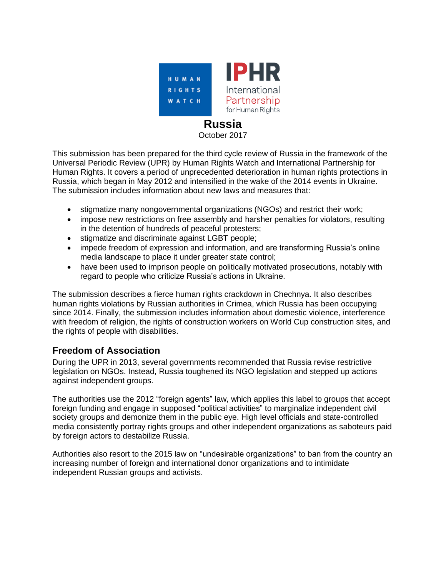

# **Russia**

October 2017

This submission has been prepared for the third cycle review of Russia in the framework of the Universal Periodic Review (UPR) by Human Rights Watch and International Partnership for Human Rights. It covers a period of unprecedented deterioration in human rights protections in Russia, which began in May 2012 and intensified in the wake of the 2014 events in Ukraine. The submission includes information about new laws and measures that:

- stigmatize many nongovernmental organizations (NGOs) and restrict their work;
- impose new restrictions on free assembly and harsher penalties for violators, resulting in the detention of hundreds of peaceful protesters;
- stigmatize and discriminate against LGBT people;
- impede freedom of expression and information, and are transforming Russia's online media landscape to place it under greater state control;
- have been used to imprison people on politically motivated prosecutions, notably with regard to people who criticize Russia's actions in Ukraine.

The submission describes a fierce human rights crackdown in Chechnya. It also describes human rights violations by Russian authorities in Crimea, which Russia has been occupying since 2014. Finally, the submission includes information about domestic violence, interference with freedom of religion, the rights of construction workers on World Cup construction sites, and the rights of people with disabilities.

# **Freedom of Association**

During the UPR in 2013, several governments recommended that Russia revise restrictive legislation on NGOs. Instead, Russia toughened its NGO legislation and stepped up actions against independent groups.

The authorities use the 2012 "foreign agents" law, which applies this label to groups that accept foreign funding and engage in supposed "political activities" to marginalize independent civil society groups and demonize them in the public eye. High level officials and state-controlled media consistently portray rights groups and other independent organizations as saboteurs paid by foreign actors to destabilize Russia.

Authorities also resort to the 2015 law on "undesirable organizations" to ban from the country an increasing number of foreign and international donor organizations and to intimidate independent Russian groups and activists.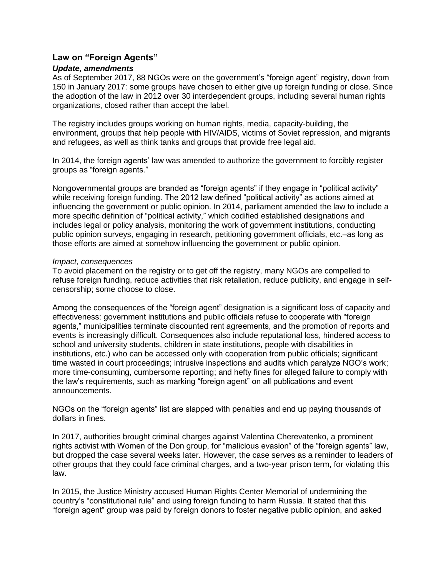#### **Law on "Foreign Agents"**

#### *Update, amendments*

As of September 2017, 88 NGOs were on the government's "foreign agent" registry, down from 150 in January 2017: some groups have chosen to either give up foreign funding or close. Since the adoption of the law in 2012 over 30 interdependent groups, including several human rights organizations, closed rather than accept the label.

The registry includes groups working on human rights, media, capacity-building, the environment, groups that help people with HIV/AIDS, victims of Soviet repression, and migrants and refugees, as well as think tanks and groups that provide free legal aid.

In 2014, the foreign agents' law was amended to authorize the government to forcibly register groups as "foreign agents."

Nongovernmental groups are branded as "foreign agents" if they engage in "political activity" while receiving foreign funding. The 2012 law defined "political activity" as actions aimed at influencing the government or public opinion. In 2014, parliament amended the law to include a more specific definition of "political activity," which codified established designations and includes legal or policy analysis, monitoring the work of government institutions, conducting public opinion surveys, engaging in research, petitioning government officials, etc.–as long as those efforts are aimed at somehow influencing the government or public opinion.

#### *Impact, consequences*

To avoid placement on the registry or to get off the registry, many NGOs are compelled to refuse foreign funding, reduce activities that risk retaliation, reduce publicity, and engage in selfcensorship; some choose to close.

Among the consequences of the "foreign agent" designation is a significant loss of capacity and effectiveness: government institutions and public officials refuse to cooperate with "foreign agents," municipalities terminate discounted rent agreements, and the promotion of reports and events is increasingly difficult. Consequences also include reputational loss, hindered access to school and university students, children in state institutions, people with disabilities in institutions, etc.) who can be accessed only with cooperation from public officials; significant time wasted in court proceedings; intrusive inspections and audits which paralyze NGO's work; more time-consuming, cumbersome reporting; and hefty fines for alleged failure to comply with the law's requirements, such as marking "foreign agent" on all publications and event announcements.

NGOs on the "foreign agents" list are slapped with penalties and end up paying thousands of dollars in fines.

In 2017, authorities brought criminal charges against [Valentina Cherevatenko,](https://www.hrw.org/news/2016/05/19/russia-rights-activist-interrogated) a prominent rights activist with Women of the Don group, for "malicious evasion" of the "foreign agents" law, but dropped the case several weeks later. However, the case serves as a reminder to leaders of other groups that they could face criminal charges, and a two-year prison term, for violating this law.

In 2015, the Justice Ministry accused Human Rights Center Memorial of undermining the country's "constitutional rule" and using foreign funding to harm Russia. It stated that this "foreign agent" group was paid by foreign donors to foster negative public opinion, and asked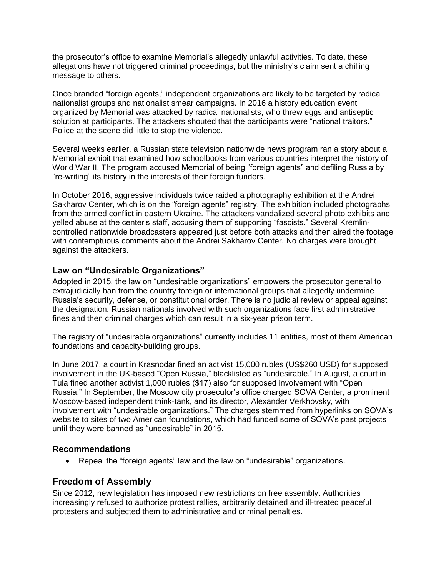the prosecutor's office to examine Memorial's allegedly unlawful activities. To date, these allegations have not triggered criminal proceedings, but the ministry's claim sent a chilling message to others.

Once branded "foreign agents," independent organizations are likely to be targeted by radical nationalist groups and nationalist smear campaigns. In 2016 a history education event organized by Memorial was attacked by radical nationalists, who threw eggs and antiseptic solution at participants. The attackers shouted that the participants were "national traitors." Police at the scene did little to stop the violence.

Several weeks earlier, a Russian state television nationwide news program ran a story about a Memorial exhibit that examined how schoolbooks from various countries interpret the history of World War II. The program accused Memorial of being "foreign agents" and defiling Russia by "re-writing" its history in the interests of their foreign funders.

In October 2016, aggressive individuals twice raided a photography exhibition at the Andrei Sakharov Center, which is on the "foreign agents" registry. The exhibition included photographs from the armed conflict in eastern Ukraine. The attackers vandalized several photo exhibits and yelled abuse at the center's staff, accusing them of supporting "fascists." Several Kremlincontrolled nationwide broadcasters appeared just before both attacks and then aired the footage with contemptuous comments about the Andrei Sakharov Center. No charges were brought against the attackers.

#### **Law on "Undesirable Organizations"**

Adopted in 2015, the law on "undesirable organizations" empowers the prosecutor general to extrajudicially ban from the country foreign or international groups that allegedly undermine Russia's security, defense, or constitutional order. There is no judicial review or appeal against the designation. Russian nationals involved with such organizations face first administrative fines and then criminal charges which can result in a six-year prison term.

The registry of "undesirable organizations" currently includes 11 entities, most of them American foundations and capacity-building groups.

In June 2017, a court in Krasnodar fined an activist 15,000 rubles (US\$260 USD) for supposed involvement in the UK-based "Open Russia," blacklisted as "undesirable." In August, a court in Tula fined another activist 1,000 rubles (\$17) also for supposed involvement with "Open Russia." In September, the Moscow city prosecutor's office charged SOVA Center, a prominent Moscow-based independent think-tank, and its director, Alexander Verkhovsky, with involvement with "undesirable organizations." The charges stemmed from hyperlinks on SOVA's website to sites of two American foundations, which had funded some of SOVA's past projects until they were banned as "undesirable" in 2015.

#### **Recommendations**

Repeal the "foreign agents" law and the law on "undesirable" organizations.

### **Freedom of Assembly**

Since 2012, new legislation has imposed new restrictions on free assembly. Authorities increasingly refused to authorize protest rallies, arbitrarily detained and ill-treated peaceful protesters and subjected them to administrative and criminal penalties.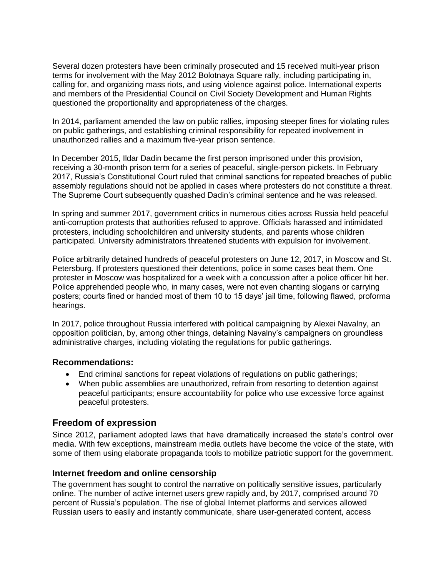Several dozen protesters have been criminally prosecuted and 15 received multi-year prison terms for involvement with the May 2012 Bolotnaya Square rally, including participating in, calling for, and organizing mass riots, and using violence against police. International experts and members of the Presidential Council on Civil Society Development and Human Rights questioned the proportionality and appropriateness of the charges.

In 2014, parliament amended the law on public rallies, imposing steeper fines for violating rules on public gatherings, and establishing criminal responsibility for repeated involvement in unauthorized rallies and a maximum five-year prison sentence.

In December 2015, Ildar Dadin became the first person imprisoned under this provision, receiving a 30-month prison term for a series of peaceful, single-person pickets. In February 2017, Russia's Constitutional Court ruled that criminal sanctions for repeated breaches of public assembly regulations should not be applied in cases where protesters do not constitute a threat. The Supreme Court subsequently quashed Dadin's criminal sentence and he was released.

In spring and summer 2017, government critics in numerous cities across [Russia](https://www.hrw.org/europe/central-asia/russia) held peaceful anti-corruption protests that authorities refused to approve. Officials harassed and intimidated protesters, including schoolchildren and university students, and parents whose children participated. University administrators threatened students with expulsion for involvement.

Police arbitrarily detained hundreds of peaceful protesters on June 12, 2017, in Moscow and St. Petersburg. If protesters questioned their detentions, police in some cases beat them. One protester in Moscow was hospitalized for a week with a concussion after a police officer hit her. Police apprehended people who, in many cases, were not even chanting slogans or carrying posters; courts fined or handed most of them 10 to 15 days' jail time, following flawed, proforma hearings.

In 2017, police throughout Russia interfered with political campaigning by Alexei Navalny, an opposition politician, by, among other things, detaining Navalny's campaigners on groundless administrative charges, including violating the regulations for public gatherings.

#### **Recommendations:**

- End criminal sanctions for repeat violations of regulations on public gatherings;
- When public assemblies are unauthorized, refrain from resorting to detention against peaceful participants; ensure accountability for police who use excessive force against peaceful protesters.

## **Freedom of expression**

Since 2012, parliament adopted laws that have dramatically increased the state's control over media. With few exceptions, mainstream media outlets have become the voice of the state, with some of them using elaborate propaganda tools to mobilize patriotic support for the government.

### **Internet freedom and online censorship**

The government has sought to control the narrative on politically sensitive issues, particularly online. The number of active internet users grew rapidly and, by 2017, comprised around 70 percent of Russia's population. The rise of global Internet platforms and services allowed Russian users to easily and instantly communicate, share user-generated content, access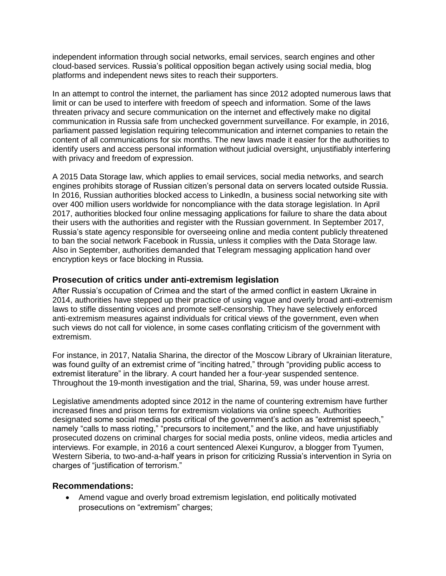independent information through social networks, email services, search engines and other cloud-based services. Russia's political opposition began actively using social media, blog platforms and independent news sites to reach their supporters.

In an attempt to control the internet, the parliament has since 2012 adopted numerous laws that limit or can be used to interfere with freedom of speech and information. Some of the laws threaten privacy and secure communication on the internet and effectively make no digital communication in Russia safe from unchecked government surveillance. For example, in 2016, parliament passed legislation requiring telecommunication and internet companies to retain the content of all communications for six months. The new laws made it easier for the authorities to identify users and access personal information without judicial oversight, unjustifiably interfering with privacy and freedom of expression.

A 2015 Data Storage law, which applies to email services, social media networks, and search engines prohibits storage of Russian citizen's personal data on servers located outside Russia. In 2016, Russian authorities blocked access to LinkedIn, a business social networking site with over 400 million users worldwide for noncompliance with the data storage legislation. In April 2017, authorities blocked four online messaging applications for failure to share the data about their users with the authorities and register with the Russian government. In September 2017, Russia's state agency responsible for overseeing online and media content publicly threatened to ban the social network Facebook in Russia, unless it complies with the Data Storage law. Also in September, authorities demanded that Telegram messaging application hand over encryption keys or face blocking in Russia.

#### **Prosecution of critics under anti-extremism legislation**

After Russia's occupation of Crimea and the start of the armed conflict in eastern Ukraine in 2014, authorities have stepped up their practice of using vague and overly broad anti-extremism laws to stifle dissenting voices and promote self-censorship. They have selectively enforced anti-extremism measures against individuals for critical views of the government, even when such views do not call for violence, in some cases conflating criticism of the government with extremism.

For instance, in 2017, Natalia Sharina, the director of the Moscow Library of Ukrainian literature, was found guilty of an extremist crime of "inciting hatred," through "providing public access to extremist literature" in the library. A court handed her a four-year suspended sentence. Throughout the 19-month investigation and the trial, Sharina, 59, was under house arrest.

Legislative amendments adopted since 2012 in the name of countering extremism have further increased fines and prison terms for extremism violations via online speech. Authorities designated some social media posts critical of the government's action as "extremist speech," namely "calls to mass rioting," "precursors to incitement," and the like, and have unjustifiably prosecuted dozens on criminal charges for social media posts, online videos, media articles and interviews. For example, in 2016 a court sentenced Alexei Kungurov, a blogger from Tyumen, Western Siberia, to two-and-a-half years in prison for criticizing Russia's intervention in Syria on charges of "justification of terrorism."

#### **Recommendations:**

 Amend vague and overly broad extremism legislation, end politically motivated prosecutions on "extremism" charges;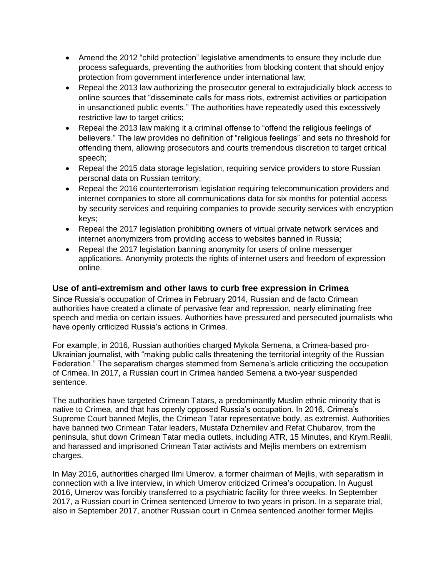- Amend the 2012 "child protection" legislative amendments to ensure they include due process safeguards, preventing the authorities from blocking content that should enjoy protection from government interference under international law;
- Repeal the 2013 law authorizing the prosecutor general to extrajudicially block access to online sources that "disseminate calls for mass riots, extremist activities or participation in unsanctioned public events." The authorities have repeatedly used this excessively restrictive law to target critics;
- Repeal the 2013 law making it a criminal offense to "offend the religious feelings of believers." The law provides no definition of "religious feelings" and sets no threshold for offending them, allowing prosecutors and courts tremendous discretion to target critical speech;
- Repeal the 2015 data storage legislation, requiring service providers to store Russian personal data on Russian territory;
- Repeal the 2016 counterterrorism legislation requiring telecommunication providers and internet companies to store all communications data for six months for potential access by security services and requiring companies to provide security services with encryption keys;
- Repeal the 2017 legislation prohibiting owners of virtual private network services and internet anonymizers from providing access to websites banned in Russia;
- Repeal the 2017 legislation banning anonymity for users of online messenger applications. Anonymity protects the rights of internet users and freedom of expression online.

### **Use of anti-extremism and other laws to curb free expression in Crimea**

Since Russia's occupation of Crimea in February 2014, Russian and de facto Crimean authorities have created a climate of pervasive fear and repression, nearly eliminating free speech and media on certain issues. Authorities have pressured and persecuted journalists who have openly criticized Russia's actions in Crimea.

For example, in 2016, Russian authorities charged Mykola Semena, a Crimea-based pro-Ukrainian journalist, with "making public calls threatening the territorial integrity of the Russian Federation." The separatism charges stemmed from Semena's article criticizing the occupation of Crimea. In 2017, a Russian court in Crimea handed Semena a two-year suspended sentence.

The authorities have targeted Crimean Tatars, a predominantly Muslim ethnic minority that is native to Crimea, and that has openly opposed Russia's occupation. In 2016, Crimea's Supreme Court banned Mejlis, the Crimean Tatar representative body, as extremist. Authorities have banned two Crimean Tatar leaders, Mustafa Dzhemilev and Refat Chubarov, from the peninsula, shut down Crimean Tatar media outlets, including ATR, 15 Minutes, and Krym.Realii, and harassed and imprisoned Crimean Tatar activists and Mejlis members on extremism charges.

In May 2016, authorities charged Ilmi Umerov, a former chairman of Mejlis, with separatism in connection with a live interview, in which Umerov criticized Crimea's occupation. In August 2016, Umerov was forcibly transferred to a psychiatric facility for three weeks. In September 2017, a Russian court in Crimea sentenced Umerov to two years in prison. In a separate trial, also in September 2017, another Russian court in Crimea sentenced another former Mejlis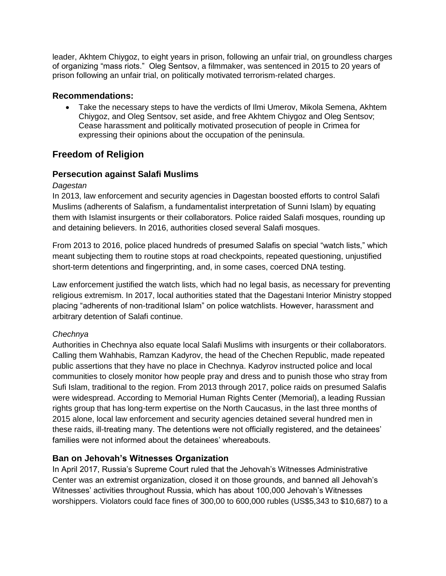leader, Akhtem Chiygoz, to eight years in prison, following an unfair trial, on groundless charges of organizing "mass riots." Oleg Sentsov, a filmmaker, was sentenced in 2015 to 20 years of prison following an unfair trial, on politically motivated terrorism-related charges.

#### **Recommendations:**

 Take the necessary steps to have the verdicts of Ilmi Umerov, Mikola Semena, Akhtem Chiygoz, and Oleg Sentsov, set aside, and free Akhtem Chiygoz and Oleg Sentsov; Cease harassment and politically motivated prosecution of people in Crimea for expressing their opinions about the occupation of the peninsula.

## **Freedom of Religion**

### **Persecution against Salafi Muslims**

#### *Dagestan*

In 2013, law enforcement and security agencies in Dagestan boosted efforts to control Salafi Muslims (adherents of Salafism, a fundamentalist interpretation of Sunni Islam) by equating them with Islamist insurgents or their collaborators. Police raided Salafi mosques, rounding up and detaining believers. In 2016, authorities closed several Salafi mosques.

From 2013 to 2016, police placed hundreds of presumed Salafis on special "watch lists," which meant subjecting them to routine stops at road checkpoints, repeated questioning, unjustified short-term detentions and fingerprinting, and, in some cases, coerced DNA testing.

Law enforcement justified the watch lists, which had no legal basis, as necessary for preventing religious extremism. In 2017, local authorities stated that the Dagestani Interior Ministry stopped placing "adherents of non-traditional Islam" on police watchlists. However, harassment and arbitrary detention of Salafi continue.

### *Chechnya*

Authorities in Chechnya also equate local Salafi Muslims with insurgents or their collaborators. Calling them Wahhabis, Ramzan Kadyrov, the head of the Chechen Republic, made repeated public assertions that they have no place in Chechnya. Kadyrov instructed police and local communities to closely monitor how people pray and dress and to punish those who stray from Sufi Islam, traditional to the region. From 2013 through 2017, police raids on presumed Salafis were widespread. According to Memorial Human Rights Center (Memorial), a leading Russian rights group that has long-term expertise on the North Caucasus, in the last three months of 2015 alone, local law enforcement and security agencies detained several hundred men in these raids, ill-treating many. The detentions were not officially registered, and the detainees' families were not informed about the detainees' whereabouts.

### **Ban on Jehovah's Witnesses Organization**

In April 2017, Russia's Supreme Court ruled that the Jehovah's Witnesses Administrative Center was an extremist organization, closed it on those grounds, and banned all Jehovah's Witnesses' activities throughout Russia, which has about 100,000 Jehovah's Witnesses worshippers. Violators could face fines of 300,00 to 600,000 rubles (US\$5,343 to \$10,687) to a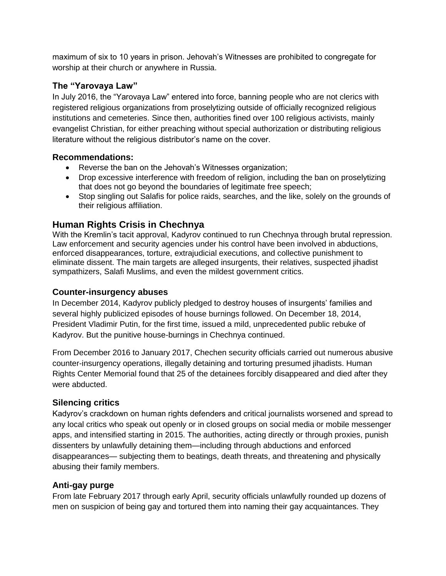maximum of six to 10 years in prison. Jehovah's Witnesses are prohibited to congregate for worship at their church or anywhere in Russia.

## **The "Yarovaya Law"**

In July 2016, the "Yarovaya Law" entered into force, banning people who are not clerics with registered religious organizations from proselytizing outside of officially recognized religious institutions and cemeteries. Since then, authorities fined over 100 religious activists, mainly evangelist Christian, for either preaching without special authorization or distributing religious literature without the religious distributor's name on the cover.

#### **Recommendations:**

- Reverse the ban on the Jehovah's Witnesses organization;
- Drop excessive interference with freedom of religion, including the ban on proselytizing that does not go beyond the boundaries of legitimate free speech;
- Stop singling out Salafis for police raids, searches, and the like, solely on the grounds of their religious affiliation.

## **Human Rights Crisis in Chechnya**

With the Kremlin's tacit approval, Kadyrov continued to run Chechnya through brutal repression. Law enforcement and security agencies under his control have been involved in abductions, enforced disappearances, torture, extrajudicial executions, and collective punishment to eliminate dissent. The main targets are alleged insurgents, their relatives, suspected jihadist sympathizers, Salafi Muslims, and even the mildest government critics.

### **Counter-insurgency abuses**

In December 2014, Kadyrov publicly pledged to destroy houses of insurgents' families and several highly publicized episodes of house burnings followed. On December 18, 2014, President Vladimir Putin, for the first time, issued a mild, unprecedented public rebuke of Kadyrov. But the punitive house-burnings in Chechnya continued.

From December 2016 to January 2017, Chechen security officials carried out numerous abusive counter-insurgency operations, illegally detaining and torturing presumed jihadists. Human Rights Center Memorial found that 25 of the detainees forcibly disappeared and died after they were abducted.

### **Silencing critics**

Kadyrov's crackdown on human rights defenders and critical journalists worsened and spread to any local critics who speak out openly or in closed groups on social media or mobile messenger apps, and intensified starting in 2015. The authorities, acting directly or through proxies, punish dissenters by unlawfully detaining them—including through abductions and enforced disappearances— subjecting them to beatings, death threats, and threatening and physically abusing their family members.

### **Anti-gay purge**

From late February 2017 through early April, security officials unlawfully rounded up dozens of men on suspicion of being gay and tortured them into naming their gay acquaintances. They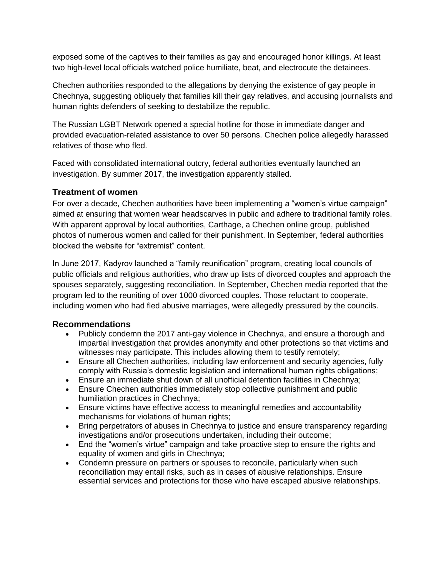exposed some of the captives to their families as gay and encouraged honor killings. At least two high-level local officials watched police humiliate, beat, and electrocute the detainees.

Chechen authorities responded to the allegations by denying the existence of gay people in Chechnya, suggesting obliquely that families kill their gay relatives, and accusing journalists and human rights defenders of seeking to destabilize the republic.

The Russian LGBT Network opened a special hotline for those in immediate danger and provided evacuation-related assistance to over 50 persons. Chechen police allegedly harassed relatives of those who fled.

Faced with consolidated international outcry, federal authorities eventually launched an investigation. By summer 2017, the investigation apparently stalled.

### **Treatment of women**

For over a decade, Chechen authorities have been implementing a "women's virtue campaign" aimed at ensuring that women wear headscarves in public and adhere to traditional family roles. With apparent approval by local authorities, Carthage, a Chechen online group, published photos of numerous women and called for their punishment. In September, federal authorities blocked the website for "extremist" content.

In June 2017, Kadyrov launched a "family reunification" program, creating local councils of public officials and religious authorities, who draw up lists of divorced couples and approach the spouses separately, suggesting reconciliation. In September, Chechen media reported that the program led to the reuniting of over 1000 divorced couples. Those reluctant to cooperate, including women who had fled abusive marriages, were allegedly pressured by the councils.

### **Recommendations**

- Publicly condemn the 2017 anti-gay violence in Chechnya, and ensure a thorough and impartial investigation that provides anonymity and other protections so that victims and witnesses may participate. This includes allowing them to testify remotely;
- Ensure all Chechen authorities, including law enforcement and security agencies, fully comply with Russia's domestic legislation and international human rights obligations;
- Ensure an immediate shut down of all unofficial detention facilities in Chechnya;
- Ensure Chechen authorities immediately stop collective punishment and public humiliation practices in Chechnya;
- Ensure victims have effective access to meaningful remedies and accountability mechanisms for violations of human rights;
- Bring perpetrators of abuses in Chechnya to justice and ensure transparency regarding investigations and/or prosecutions undertaken, including their outcome;
- End the "women's virtue" campaign and take proactive step to ensure the rights and equality of women and girls in Chechnya;
- Condemn pressure on partners or spouses to reconcile, particularly when such reconciliation may entail risks, such as in cases of abusive relationships. Ensure essential services and protections for those who have escaped abusive relationships.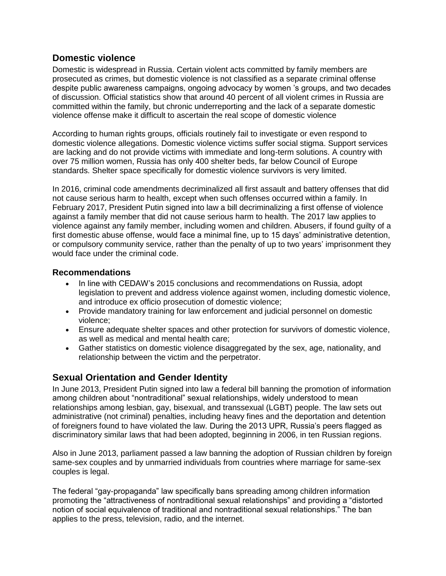## **Domestic violence**

Domestic is widespread in Russia. Certain violent acts committed by family members are prosecuted as crimes, but domestic violence is not classified as a separate criminal offense despite public awareness campaigns, ongoing advocacy by women 's groups, and two decades of discussion. Official statistics show that around 40 percent of all violent crimes in Russia are committed within the family, but chronic underreporting and the lack of a separate domestic violence offense make it difficult to ascertain the real scope of domestic violence

According to human rights groups, officials routinely fail to investigate or even respond to domestic violence allegations. Domestic violence victims suffer social stigma. Support services are lacking and do not provide victims with immediate and long-term solutions. A country with over 75 million women, Russia has only 400 shelter beds, far below Council of Europe standards. Shelter space specifically for domestic violence survivors is very limited.

In 2016, criminal code amendments decriminalized all first assault and battery offenses that did not cause serious harm to health, except when such offenses occurred within a family. In February 2017, President Putin signed into law a bill decriminalizing a first offense of violence against a family member that did not cause serious harm to health. The 2017 law applies to violence against any family member, including women and children. Abusers, if found guilty of a first domestic abuse offense, would face a minimal fine, up to 15 days' administrative detention, or compulsory community service, rather than the penalty of up to two years' imprisonment they would face under the criminal code.

## **Recommendations**

- In line with CEDAW's 2015 conclusions and recommendations on Russia, adopt legislation to prevent and address violence against women, including domestic violence, and introduce ex officio prosecution of domestic violence;
- Provide mandatory training for law enforcement and judicial personnel on domestic violence;
- Ensure adequate shelter spaces and other protection for survivors of domestic violence, as well as medical and mental health care;
- Gather statistics on domestic violence disaggregated by the sex, age, nationality, and relationship between the victim and the perpetrator.

# **Sexual Orientation and Gender Identity**

In June 2013, President Putin signed into law a federal bill banning the promotion of information among children about "nontraditional" sexual relationships, widely understood to mean relationships among lesbian, gay, bisexual, and transsexual (LGBT) people. The law sets out administrative (not criminal) penalties, including heavy fines and the deportation and detention of foreigners found to have violated the law. During the 2013 UPR, Russia's peers flagged as discriminatory similar laws that had been adopted, beginning in 2006, in ten Russian regions.

Also in June 2013, parliament passed a law banning the adoption of Russian children by foreign same-sex couples and by unmarried individuals from countries where marriage for same-sex couples is legal.

The federal "gay-propaganda" law specifically bans spreading among children information promoting the "attractiveness of nontraditional sexual relationships" and providing a "distorted notion of social equivalence of traditional and nontraditional sexual relationships." The ban applies to the press, television, radio, and the internet.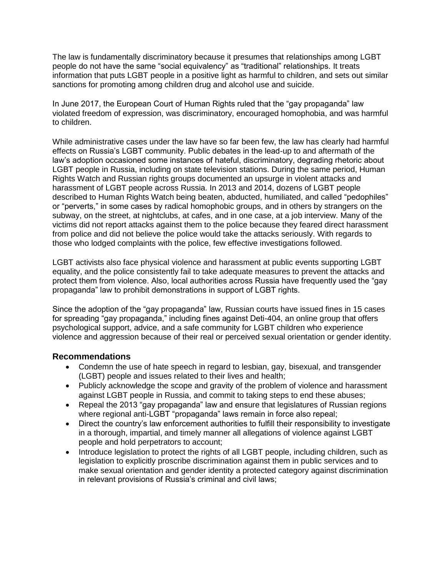The law is fundamentally discriminatory because it presumes that relationships among LGBT people do not have the same "social equivalency" as "traditional" relationships. It treats information that puts LGBT people in a positive light as harmful to children, and sets out similar sanctions for promoting among children drug and alcohol use and suicide.

In June 2017, the European Court of Human Rights ruled that the "gay propaganda" law violated freedom of expression, was discriminatory, encouraged homophobia, and was harmful to children.

While administrative cases under the law have so far been few, the law has clearly had harmful effects on Russia's LGBT community. Public debates in the lead-up to and aftermath of the law's adoption occasioned some instances of hateful, discriminatory, degrading rhetoric about LGBT people in Russia, including on state television stations. During the same period, Human Rights Watch and Russian rights groups documented an upsurge in violent attacks and harassment of LGBT people across [Russia.](https://www.hrw.org/europecentral-asia/russia) In 2013 and 2014, dozens of LGBT people described to Human Rights Watch being beaten, abducted, humiliated, and called "pedophiles" or "perverts," in some cases by radical homophobic groups, and in others by strangers on the subway, on the street, at nightclubs, at cafes, and in one case, at a job interview. Many of the victims did not report attacks against them to the police because they feared direct harassment from police and did not believe the police would take the attacks seriously. With regards to those who lodged complaints with the police, few effective investigations followed.

LGBT activists also face physical violence and harassment at public events supporting LGBT equality, and the police consistently fail to take adequate measures to prevent the attacks and protect them from violence. Also, local authorities across Russia have frequently used the "gay propaganda" law to prohibit demonstrations in support of LGBT rights.

Since the adoption of the "gay propaganda" law, Russian courts have issued fines in 15 cases for spreading "gay propaganda," including fines against Deti-404, an online group that offers psychological support, advice, and a safe community for LGBT children who experience violence and aggression because of their real or perceived sexual orientation or gender identity.

### **Recommendations**

- Condemn the use of hate speech in regard to lesbian, gay, bisexual, and transgender (LGBT) people and issues related to their lives and health;
- Publicly acknowledge the scope and gravity of the problem of violence and harassment against LGBT people in Russia, and commit to taking steps to end these abuses;
- Repeal the 2013 "gay propaganda" law and ensure that legislatures of Russian regions where regional anti-LGBT "propaganda" laws remain in force also repeal;
- Direct the country's law enforcement authorities to fulfill their responsibility to investigate in a thorough, impartial, and timely manner all allegations of violence against LGBT people and hold perpetrators to account;
- Introduce legislation to protect the rights of all LGBT people, including children, such as legislation to explicitly proscribe discrimination against them in public services and to make sexual orientation and gender identity a protected category against discrimination in relevant provisions of Russia's criminal and civil laws;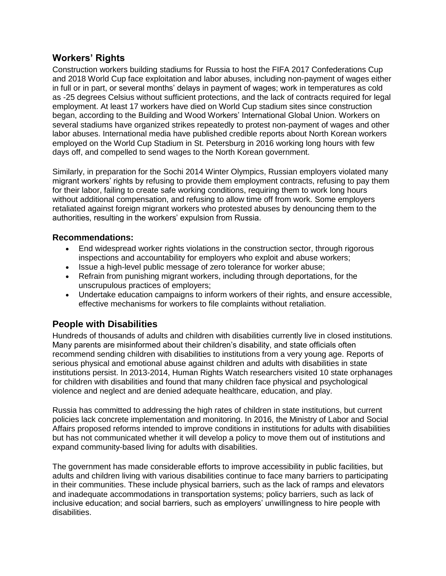## **Workers' Rights**

Construction workers building stadiums for Russia to host the FIFA 2017 Confederations Cup and 2018 World Cup face exploitation and labor abuses, including non-payment of wages either in full or in part, or several months' delays in payment of wages; work in temperatures as cold as -25 degrees Celsius without sufficient protections, and the lack of contracts required for legal employment. At least 17 workers have died on World Cup stadium sites since construction began, according to the Building and Wood Workers' International Global Union. Workers on several stadiums have organized strikes repeatedly to protest non-payment of wages and other labor abuses. International media have published credible reports about North Korean workers employed on the World Cup Stadium in St. Petersburg in 2016 working long hours with few days off, and compelled to send wages to the North Korean government.

Similarly, in preparation for the Sochi 2014 Winter Olympics, Russian employers violated many migrant workers' rights by refusing to provide them employment contracts, refusing to pay them for their labor, failing to create safe working conditions, requiring them to work long hours without additional compensation, and refusing to allow time off from work. Some employers retaliated against foreign migrant workers who protested abuses by denouncing them to the authorities, resulting in the workers' expulsion from Russia.

### **Recommendations:**

- End widespread worker rights violations in the construction sector, through rigorous inspections and accountability for employers who exploit and abuse workers;
- Issue a high-level public message of zero tolerance for worker abuse;
- Refrain from punishing migrant workers, including through deportations, for the unscrupulous practices of employers;
- Undertake education campaigns to inform workers of their rights, and ensure accessible, effective mechanisms for workers to file complaints without retaliation.

## **People with Disabilities**

Hundreds of thousands of adults and children with disabilities currently live in closed institutions. Many parents are misinformed about their children's disability, and state officials often recommend sending children with disabilities to institutions from a very young age. Reports of serious physical and emotional abuse against children and adults with disabilities in state institutions persist. In 2013-2014, Human Rights Watch researchers visited 10 state orphanages for children with disabilities and found that many children face physical and psychological violence and neglect and are denied adequate healthcare, education, and play.

Russia has committed to addressing the high rates of children in state institutions, but current policies lack concrete implementation and monitoring. In 2016, the Ministry of Labor and Social Affairs proposed reforms intended to improve conditions in institutions for adults with disabilities but has not communicated whether it will develop a policy to move them out of institutions and expand community-based living for adults with disabilities.

The government has made considerable efforts to improve accessibility in public facilities, but adults and children living with various disabilities continue to face many barriers to participating in their communities. These include physical barriers, such as the lack of ramps and elevators and inadequate accommodations in transportation systems; policy barriers, such as lack of inclusive education; and social barriers, such as employers' unwillingness to hire people with disabilities.